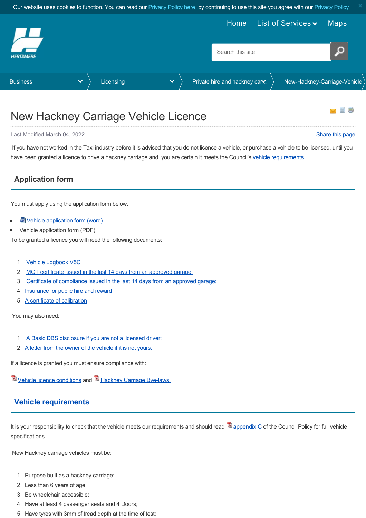<span id="page-0-1"></span>

# New Hackney Carriage Vehicle Licence

#### Last Modified March 04, 2022 [Share this page](http://www.addthis.com/bookmark.php?v=250&pubid=xa-502e5fd570edcb1e) of the state of the state of the state of the state of the state of the state of the state of the state of the state of the state of the state of the state of the state of the s

 If you have not worked in the Taxi industry before it is advised that you do not licence a vehicle, or purchase a vehicle to be licensed, until you have been granted a licence to drive a hackney carriage and you are certain it meets the Council's [vehicle requirements.](#page-0-0)

# **Application form**

You must apply using the application form below.

- [Vehicle application form \(word\)](https://www.hertsmere.gov.uk/Documents/02-Business/Licensing/Private-hire--Hackney-Carriage-Licensing/vehicle-application-form-final-2022.docx)
- Vehicle application form (PDF)

To be granted a licence you will need the following documents:

- 1. [Vehicle Logbook V5C](#page-1-0)
- 2. [MOT certificate issued in the last 14 days from an approved garage;](#page-1-1)
- 3. [Certificate of compliance issued in the last 14 days from an approved garage;](#page-1-1)
- 4. [Insurance for public hire and reward](#page-1-2)
- 5. [A certificate of calibration](#page-1-3)

You may also need:

- 1. [A Basic DBS disclosure if you are not a licensed driver;](#page-2-0)
- 2. A letter from the owner of the vehicle if it is not yours.

If a licence is granted you must ensure compliance with:

 $\mathbb{Z}$  [Vehicle licence conditions](https://www.hertsmere.gov.uk/Documents/02-Business/Licensing/Private-hire--Hackney-Carriage-Licensing/Appendix-G-Vehicle-Licence-Conditions.pdf) and  $\mathbb{Z}$  [Hackney Carriage Bye-laws.](https://www.hertsmere.gov.uk/Documents/02-Business/Licensing/Private-hire--Hackney-Carriage-Licensing/Hackney-bylaw.pdf)

# <span id="page-0-0"></span>**Vehicle requirements**

It is your responsibility to check that the vehicle meets our requirements and should read  $\mathbb{Z}_{\text{appendix C}}$  of the Council Policy for full vehicle specifications.

New Hackney carriage vehicles must be:

- 1. Purpose built as a hackney carriage;
- 2. Less than 6 years of age;
- 3. Be wheelchair accessible;
- 4. Have at least 4 passenger seats and 4 Doors;
- 5. Have tyres with 3mm of tread depth at the time of test;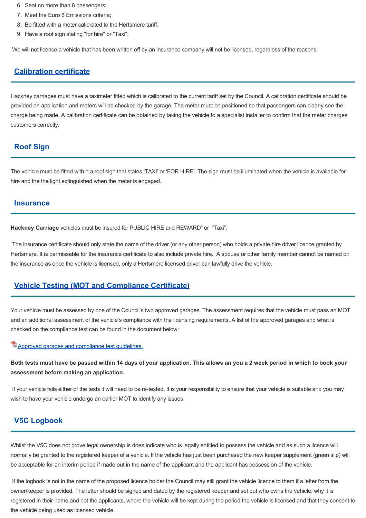- 6. Seat no more than 8 passengers;
- 7. Meet the Euro 6 Emissions criteria;
- 8. Be fitted with a meter calibrated to the Hertsmere tariff.
- 9. Have a roof sign stating "for hire" or "Taxi";

We will not licence a vehicle that has been written off by an insurance company will not be licensed, regardless of the reasons.

#### <span id="page-1-3"></span>**Calibration certificate**

Hackney carriages must have a taximeter fitted which is calibrated to the current tariff set by the Council. A calibration certificate should be provided on application and meters will be checked by the garage. The meter must be positioned so that passengers can clearly see the charge being made. A calibration certificate can be obtained by taking the vehicle to a specialist installer to confirm that the meter charges customers correctly.

## **Roof Sign**

The vehicle must be fitted with n a roof sign that states 'TAXI' or 'FOR HIRE'. The sign must be illuminated when the vehicle is available for hire and the the light extinguished when the meter is engaged.

#### <span id="page-1-2"></span>**Insurance**

**Hackney Carriage** vehicles must be insured for PUBLIC HIRE and REWARD" or "Taxi".

 The insurance certificate should only state the name of the driver (or any other person) who holds a private hire driver licence granted by Hertsmere. It is permissable for the insurance certificate to also include private hire. A spouse or other family member cannot be named on the insurance as once the vehicle is licensed, only a Hertsmere licensed driver can lawfully drive the vehicle.

### <span id="page-1-1"></span>**Vehicle Testing (MOT and Compliance Certificate)**

Your vehicle must be assessed by one of the Council's two approved garages. The assessment requires that the vehicle must pass an MOT and an additional assessment of the vehicle's compliance with the licensing requirements. A list of the approved garages and what is checked on the compliance test can be found in the document below:

#### [Approved garages and compliance test guidelines.](https://www.hertsmere.gov.uk/Documents/02-Business/Licensing/Private-hire--Hackney-Carriage-Licensing/approved-MOT-garages.pdf)

**Both tests must have be passed within 14 days of your application. This allows an you a 2 week period in which to book your assessment before making an application.** 

 If your vehicle fails either of the tests it will need to be re-tested. It is your responsibility to ensure that your vehicle is suitable and you may wish to have your vehicle undergo an earlier MOT to identify any issues.

### <span id="page-1-0"></span>**V5C Logbook**

Whilst the V5C does not prove legal ownership is does indicate who is legally entitled to possess the vehicle and as such a licence will normally be granted to the registered keeper of a vehicle. If the vehicle has just been purchased the new keeper supplement (green slip) will be acceptable for an interim period if made out in the name of the applicant and the applicant has possession of the vehicle.

<span id="page-1-4"></span> If the logbook is not in the name of the proposed licence holder the Council may still grant the vehicle licence to them if a letter from the owner/keeper is provided. The letter should be signed and dated by the registered keeper and set out who owns the vehicle, why it is registered in their name and not the applicants, where the vehicle will be kept during the period the vehicle is licensed and that they consent to the vehicle being used as licensed vehicle.